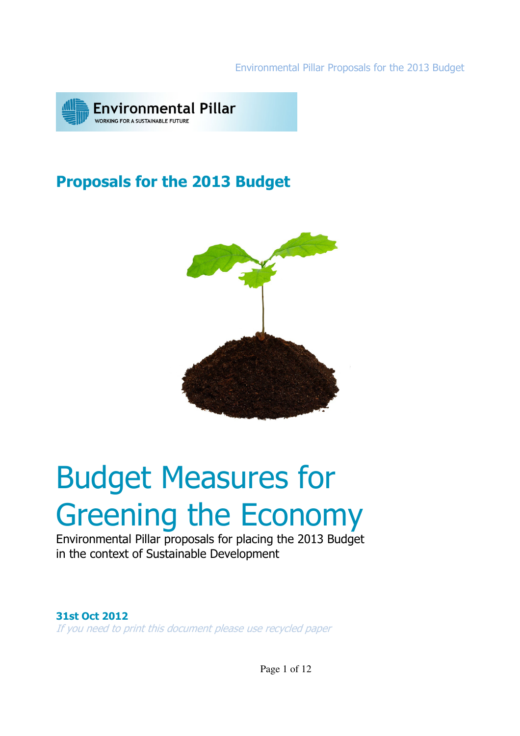Environmental Pillar Proposals for the 2013 Budget



# Proposals for the 2013 Budget



# Budget Measures for Greening the Economy

Environmental Pillar proposals for placing the 2013 Budget in the context of Sustainable Development

### 31st Oct 2012

If you need to print this document please use recycled paper

Page 1 of 12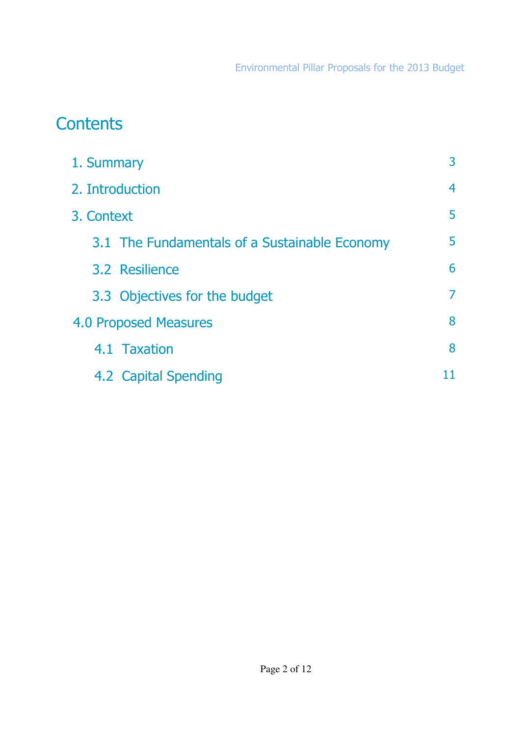# **Contents**

| 1. Summary                                    | 3              |
|-----------------------------------------------|----------------|
| 2. Introduction                               | $\overline{4}$ |
| 3. Context                                    | 5              |
| 3.1 The Fundamentals of a Sustainable Economy | 5              |
| 3.2 Resilience                                | 6              |
| 3.3 Objectives for the budget                 | 7              |
| <b>4.0 Proposed Measures</b>                  | 8              |
| 4.1 Taxation                                  | 8              |
| 4.2 Capital Spending                          | 11             |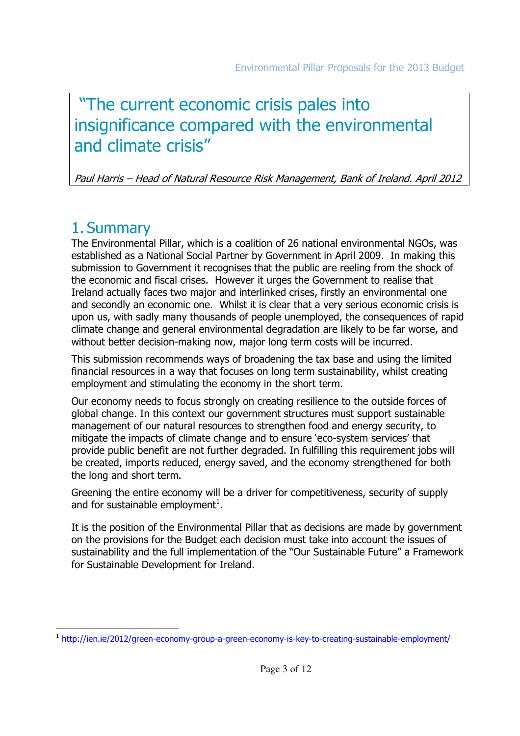# "The current economic crisis pales into insignificance compared with the environmental and climate crisis"

Paul Harris – Head of Natural Resource Risk Management, Bank of Ireland. April 2012

# 1. Summary

The Environmental Pillar, which is a coalition of 26 national environmental NGOs, was established as a National Social Partner by Government in April 2009. In making this submission to Government it recognises that the public are reeling from the shock of the economic and fiscal crises. However it urges the Government to realise that Ireland actually faces two major and interlinked crises, firstly an environmental one and secondly an economic one. Whilst it is clear that a very serious economic crisis is upon us, with sadly many thousands of people unemployed, the consequences of rapid climate change and general environmental degradation are likely to be far worse, and without better decision-making now, major long term costs will be incurred.

This submission recommends ways of broadening the tax base and using the limited financial resources in a way that focuses on long term sustainability, whilst creating employment and stimulating the economy in the short term.

Our economy needs to focus strongly on creating resilience to the outside forces of global change. In this context our government structures must support sustainable management of our natural resources to strengthen food and energy security, to mitigate the impacts of climate change and to ensure 'eco-system services' that provide public benefit are not further degraded. In fulfilling this requirement jobs will be created, imports reduced, energy saved, and the economy strengthened for both the long and short term.

Greening the entire economy will be a driver for competitiveness, security of supply and for sustainable employment $^1$ .

It is the position of the Environmental Pillar that as decisions are made by government on the provisions for the Budget each decision must take into account the issues of sustainability and the full implementation of the "Our Sustainable Future" a Framework for Sustainable Development for Ireland.

l <sup>1</sup> http://ien.ie/2012/green-economy-group-a-green-economy-is-key-to-creating-sustainable-employment/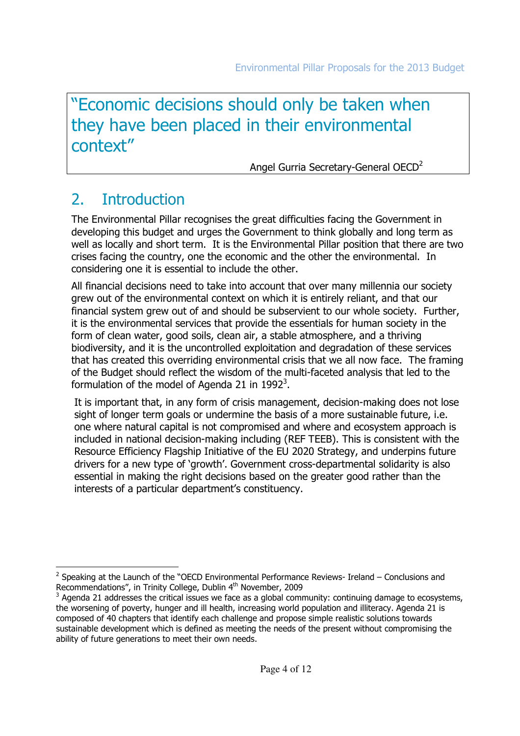# "Economic decisions should only be taken when they have been placed in their environmental context"

Angel Gurria Secretary-General OECD<sup>2</sup>

# 2. Introduction

The Environmental Pillar recognises the great difficulties facing the Government in developing this budget and urges the Government to think globally and long term as well as locally and short term. It is the Environmental Pillar position that there are two crises facing the country, one the economic and the other the environmental. In considering one it is essential to include the other.

All financial decisions need to take into account that over many millennia our society grew out of the environmental context on which it is entirely reliant, and that our financial system grew out of and should be subservient to our whole society. Further, it is the environmental services that provide the essentials for human society in the form of clean water, good soils, clean air, a stable atmosphere, and a thriving biodiversity, and it is the uncontrolled exploitation and degradation of these services that has created this overriding environmental crisis that we all now face. The framing of the Budget should reflect the wisdom of the multi-faceted analysis that led to the formulation of the model of Agenda 21 in 1992<sup>3</sup>.

It is important that, in any form of crisis management, decision-making does not lose sight of longer term goals or undermine the basis of a more sustainable future, i.e. one where natural capital is not compromised and where and ecosystem approach is included in national decision-making including (REF TEEB). This is consistent with the Resource Efficiency Flagship Initiative of the EU 2020 Strategy, and underpins future drivers for a new type of 'growth'. Government cross-departmental solidarity is also essential in making the right decisions based on the greater good rather than the interests of a particular department's constituency.

l  $2$  Speaking at the Launch of the "OECD Environmental Performance Reviews- Ireland – Conclusions and Recommendations", in Trinity College, Dublin 4<sup>th</sup> November, 2009

 $3$  Agenda 21 addresses the critical issues we face as a global community: continuing damage to ecosystems, the worsening of poverty, hunger and ill health, increasing world population and illiteracy. Agenda 21 is composed of 40 chapters that identify each challenge and propose simple realistic solutions towards sustainable development which is defined as meeting the needs of the present without compromising the ability of future generations to meet their own needs.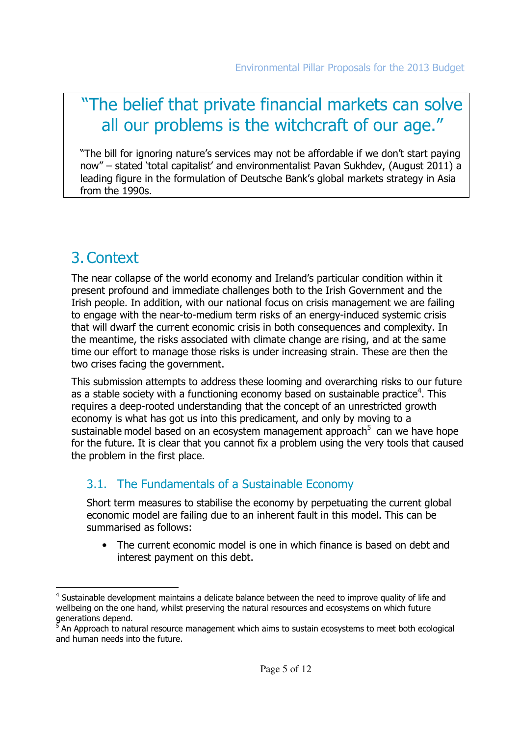# "The belief that private financial markets can solve all our problems is the witchcraft of our age."

"The bill for ignoring nature's services may not be affordable if we don't start paying now" – stated 'total capitalist' and environmentalist Pavan Sukhdev, (August 2011) a leading figure in the formulation of Deutsche Bank's global markets strategy in Asia from the 1990s.

# 3.Context

The near collapse of the world economy and Ireland's particular condition within it present profound and immediate challenges both to the Irish Government and the Irish people. In addition, with our national focus on crisis management we are failing to engage with the near-to-medium term risks of an energy-induced systemic crisis that will dwarf the current economic crisis in both consequences and complexity. In the meantime, the risks associated with climate change are rising, and at the same time our effort to manage those risks is under increasing strain. These are then the two crises facing the government.

This submission attempts to address these looming and overarching risks to our future as a stable society with a functioning economy based on sustainable practice<sup>4</sup>. This requires a deep-rooted understanding that the concept of an unrestricted growth economy is what has got us into this predicament, and only by moving to a sustainable model based on an ecosystem management approach<sup>5</sup> can we have hope for the future. It is clear that you cannot fix a problem using the very tools that caused the problem in the first place.

### 3.1. The Fundamentals of a Sustainable Economy

Short term measures to stabilise the economy by perpetuating the current global economic model are failing due to an inherent fault in this model. This can be summarised as follows:

• The current economic model is one in which finance is based on debt and interest payment on this debt.

l <sup>4</sup> Sustainable development maintains a delicate balance between the need to improve quality of life and wellbeing on the one hand, whilst preserving the natural resources and ecosystems on which future generations depend.<br><sup>5</sup> An Approach to natu

An Approach to natural resource management which aims to sustain ecosystems to meet both ecological and human needs into the future.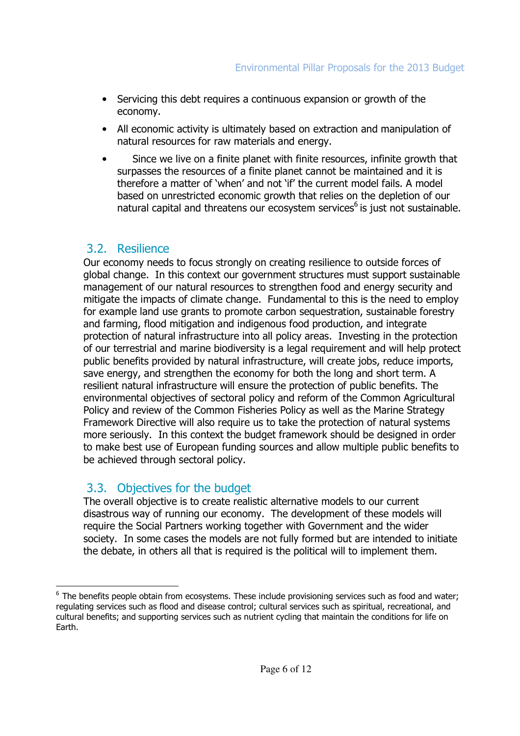- Servicing this debt requires a continuous expansion or growth of the economy.
- All economic activity is ultimately based on extraction and manipulation of natural resources for raw materials and energy.
- Since we live on a finite planet with finite resources, infinite growth that surpasses the resources of a finite planet cannot be maintained and it is therefore a matter of 'when' and not 'if' the current model fails. A model based on unrestricted economic growth that relies on the depletion of our natural capital and threatens our ecosystem services<sup>6</sup> is just not sustainable.

### 3.2. Resilience

Our economy needs to focus strongly on creating resilience to outside forces of global change. In this context our government structures must support sustainable management of our natural resources to strengthen food and energy security and mitigate the impacts of climate change. Fundamental to this is the need to employ for example land use grants to promote carbon sequestration, sustainable forestry and farming, flood mitigation and indigenous food production, and integrate protection of natural infrastructure into all policy areas. Investing in the protection of our terrestrial and marine biodiversity is a legal requirement and will help protect public benefits provided by natural infrastructure, will create jobs, reduce imports, save energy, and strengthen the economy for both the long and short term. A resilient natural infrastructure will ensure the protection of public benefits. The environmental objectives of sectoral policy and reform of the Common Agricultural Policy and review of the Common Fisheries Policy as well as the Marine Strategy Framework Directive will also require us to take the protection of natural systems more seriously. In this context the budget framework should be designed in order to make best use of European funding sources and allow multiple public benefits to be achieved through sectoral policy.

### 3.3. Objectives for the budget

The overall objective is to create realistic alternative models to our current disastrous way of running our economy. The development of these models will require the Social Partners working together with Government and the wider society. In some cases the models are not fully formed but are intended to initiate the debate, in others all that is required is the political will to implement them.

l <sup>6</sup> The benefits people obtain from ecosystems. These include provisioning services such as food and water; regulating services such as flood and disease control; cultural services such as spiritual, recreational, and cultural benefits; and supporting services such as nutrient cycling that maintain the conditions for life on Earth.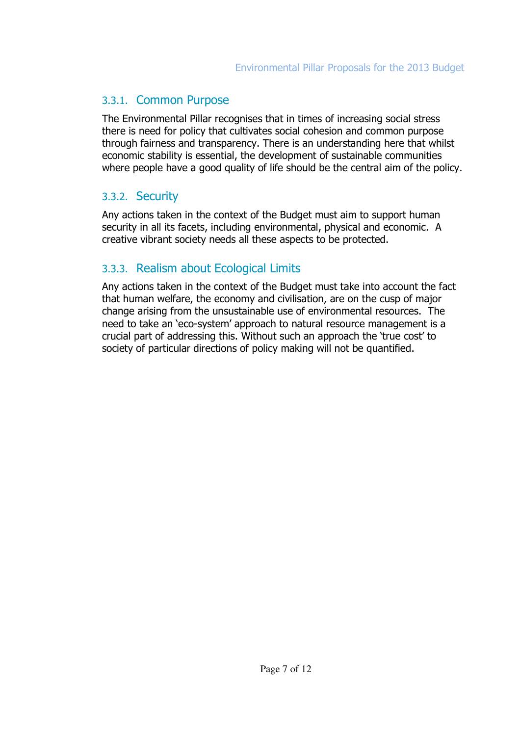### 3.3.1. Common Purpose

The Environmental Pillar recognises that in times of increasing social stress there is need for policy that cultivates social cohesion and common purpose through fairness and transparency. There is an understanding here that whilst economic stability is essential, the development of sustainable communities where people have a good quality of life should be the central aim of the policy.

### 3.3.2. Security

Any actions taken in the context of the Budget must aim to support human security in all its facets, including environmental, physical and economic. A creative vibrant society needs all these aspects to be protected.

### 3.3.3. Realism about Ecological Limits

Any actions taken in the context of the Budget must take into account the fact that human welfare, the economy and civilisation, are on the cusp of major change arising from the unsustainable use of environmental resources. The need to take an 'eco-system' approach to natural resource management is a crucial part of addressing this. Without such an approach the 'true cost' to society of particular directions of policy making will not be quantified.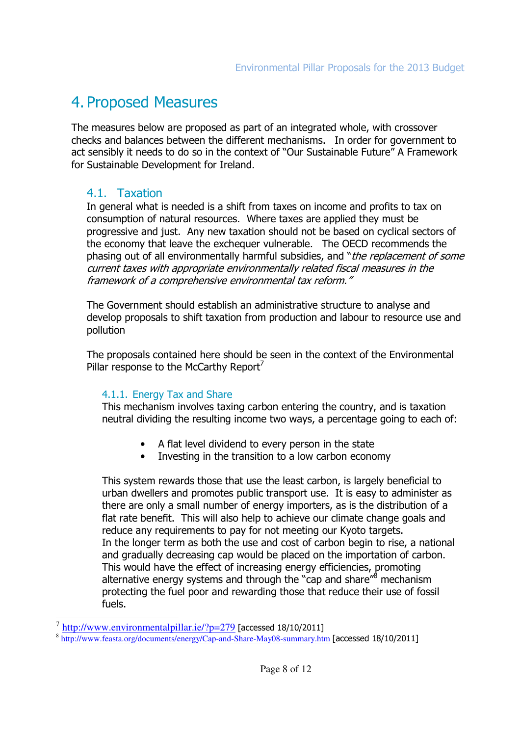# 4. Proposed Measures

The measures below are proposed as part of an integrated whole, with crossover checks and balances between the different mechanisms. In order for government to act sensibly it needs to do so in the context of "Our Sustainable Future" A Framework for Sustainable Development for Ireland.

### 4.1. Taxation

In general what is needed is a shift from taxes on income and profits to tax on consumption of natural resources. Where taxes are applied they must be progressive and just. Any new taxation should not be based on cyclical sectors of the economy that leave the exchequer vulnerable. The OECD recommends the phasing out of all environmentally harmful subsidies, and "the replacement of some current taxes with appropriate environmentally related fiscal measures in the framework of a comprehensive environmental tax reform."

The Government should establish an administrative structure to analyse and develop proposals to shift taxation from production and labour to resource use and pollution

The proposals contained here should be seen in the context of the Environmental Pillar response to the McCarthy Report<sup>7</sup>

#### 4.1.1. Energy Tax and Share

This mechanism involves taxing carbon entering the country, and is taxation neutral dividing the resulting income two ways, a percentage going to each of:

- A flat level dividend to every person in the state
- Investing in the transition to a low carbon economy

This system rewards those that use the least carbon, is largely beneficial to urban dwellers and promotes public transport use. It is easy to administer as there are only a small number of energy importers, as is the distribution of a flat rate benefit. This will also help to achieve our climate change goals and reduce any requirements to pay for not meeting our Kyoto targets. In the longer term as both the use and cost of carbon begin to rise, a national and gradually decreasing cap would be placed on the importation of carbon. This would have the effect of increasing energy efficiencies, promoting alternative energy systems and through the "cap and share"<sup>8</sup> mechanism protecting the fuel poor and rewarding those that reduce their use of fossil fuels.

 $\overline{a}$ 

<sup>7</sup> http://www.environmentalpillar.ie/?p=279 [accessed 18/10/2011]

<sup>&</sup>lt;sup>8</sup> http://www.feasta.org/documents/energy/Cap-and-Share-May08-summary.htm [accessed 18/10/2011]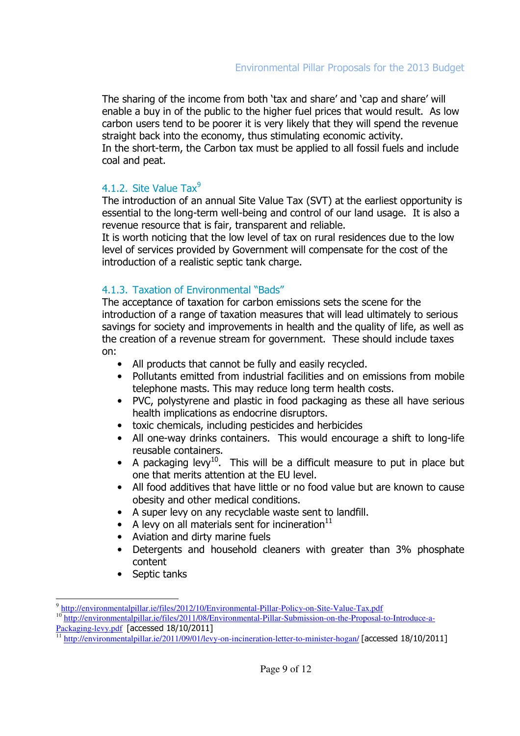The sharing of the income from both 'tax and share' and 'cap and share' will enable a buy in of the public to the higher fuel prices that would result. As low carbon users tend to be poorer it is very likely that they will spend the revenue straight back into the economy, thus stimulating economic activity.

In the short-term, the Carbon tax must be applied to all fossil fuels and include coal and peat.

#### 4.1.2. Site Value  $\text{Tax}^9$

The introduction of an annual Site Value Tax (SVT) at the earliest opportunity is essential to the long-term well-being and control of our land usage. It is also a revenue resource that is fair, transparent and reliable.

It is worth noticing that the low level of tax on rural residences due to the low level of services provided by Government will compensate for the cost of the introduction of a realistic septic tank charge.

### 4.1.3. Taxation of Environmental "Bads"

The acceptance of taxation for carbon emissions sets the scene for the introduction of a range of taxation measures that will lead ultimately to serious savings for society and improvements in health and the quality of life, as well as the creation of a revenue stream for government. These should include taxes on:

- All products that cannot be fully and easily recycled.
- Pollutants emitted from industrial facilities and on emissions from mobile telephone masts. This may reduce long term health costs.
- PVC, polystyrene and plastic in food packaging as these all have serious health implications as endocrine disruptors.
- toxic chemicals, including pesticides and herbicides
- All one-way drinks containers. This would encourage a shift to long-life reusable containers.
- A packaging levy<sup>10</sup>. This will be a difficult measure to put in place but one that merits attention at the EU level.
- All food additives that have little or no food value but are known to cause obesity and other medical conditions.
- A super levy on any recyclable waste sent to landfill.
- A levy on all materials sent for incineration $^{11}$
- Aviation and dirty marine fuels
- Detergents and household cleaners with greater than 3% phosphate content
- Septic tanks

<sup>&</sup>lt;sup>9</sup> http://environmentalpillar.ie/files/2012/10/Environmental-Pillar-Policy-on-Site-Value-Tax.pdf

<sup>10&</sup>lt;br>http://environmentalpillar.ie/files/2011/08/Environmental-Pillar-Submission-on-the-Proposal-to-Introduce-a-Packaging-levy.pdf [accessed 18/10/2011]

<sup>11</sup> http://environmentalpillar.ie/2011/09/01/levy-on-incineration-letter-to-minister-hogan/ [accessed 18/10/2011]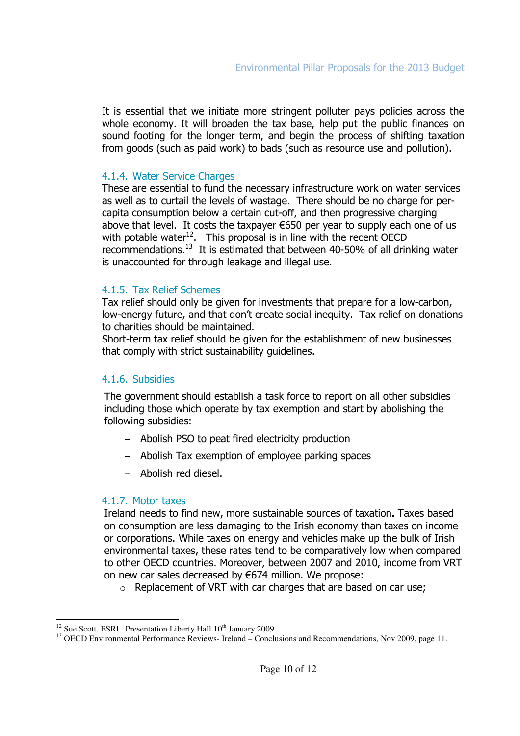It is essential that we initiate more stringent polluter pays policies across the whole economy. It will broaden the tax base, help put the public finances on sound footing for the longer term, and begin the process of shifting taxation from goods (such as paid work) to bads (such as resource use and pollution).

#### 4.1.4. Water Service Charges

These are essential to fund the necessary infrastructure work on water services as well as to curtail the levels of wastage. There should be no charge for percapita consumption below a certain cut-off, and then progressive charging above that level. It costs the taxpayer €650 per year to supply each one of us with potable water<sup>12</sup>. This proposal is in line with the recent OECD recommendations.<sup>13</sup> It is estimated that between 40-50% of all drinking water is unaccounted for through leakage and illegal use.

#### 4.1.5. Tax Relief Schemes

Tax relief should only be given for investments that prepare for a low-carbon, low-energy future, and that don't create social inequity. Tax relief on donations to charities should be maintained.

Short-term tax relief should be given for the establishment of new businesses that comply with strict sustainability guidelines.

#### 4.1.6. Subsidies

The government should establish a task force to report on all other subsidies including those which operate by tax exemption and start by abolishing the following subsidies:

- Abolish PSO to peat fired electricity production
- Abolish Tax exemption of employee parking spaces
- Abolish red diesel.

#### 4.1.7. Motor taxes

Ireland needs to find new, more sustainable sources of taxation. Taxes based on consumption are less damaging to the Irish economy than taxes on income or corporations. While taxes on energy and vehicles make up the bulk of Irish environmental taxes, these rates tend to be comparatively low when compared to other OECD countries. Moreover, between 2007 and 2010, income from VRT on new car sales decreased by €674 million. We propose:

o Replacement of VRT with car charges that are based on car use;

l  $12$  Sue Scott. ESRI. Presentation Liberty Hall  $10<sup>th</sup>$  January 2009.

<sup>&</sup>lt;sup>13</sup> OECD Environmental Performance Reviews- Ireland – Conclusions and Recommendations, Nov 2009, page 11.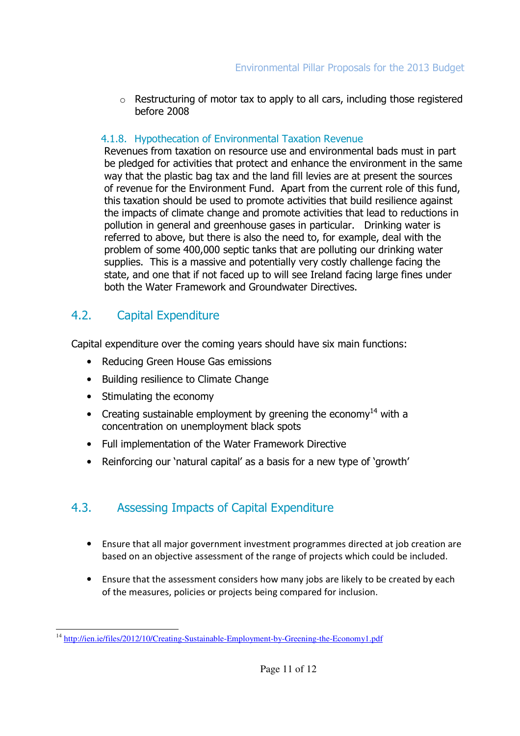$\circ$  Restructuring of motor tax to apply to all cars, including those registered before 2008

### 4.1.8. Hypothecation of Environmental Taxation Revenue

Revenues from taxation on resource use and environmental bads must in part be pledged for activities that protect and enhance the environment in the same way that the plastic bag tax and the land fill levies are at present the sources of revenue for the Environment Fund. Apart from the current role of this fund, this taxation should be used to promote activities that build resilience against the impacts of climate change and promote activities that lead to reductions in pollution in general and greenhouse gases in particular. Drinking water is referred to above, but there is also the need to, for example, deal with the problem of some 400,000 septic tanks that are polluting our drinking water supplies. This is a massive and potentially very costly challenge facing the state, and one that if not faced up to will see Ireland facing large fines under both the Water Framework and Groundwater Directives.

## 4.2. Capital Expenditure

Capital expenditure over the coming years should have six main functions:

- Reducing Green House Gas emissions
- Building resilience to Climate Change
- Stimulating the economy
- Creating sustainable employment by greening the economy<sup>14</sup> with a concentration on unemployment black spots
- Full implementation of the Water Framework Directive
- Reinforcing our 'natural capital' as a basis for a new type of 'growth'

# 4.3. Assessing Impacts of Capital Expenditure

- Ensure that all major government investment programmes directed at job creation are based on an objective assessment of the range of projects which could be included.
- Ensure that the assessment considers how many jobs are likely to be created by each of the measures, policies or projects being compared for inclusion.

l <sup>14</sup> http://ien.ie/files/2012/10/Creating-Sustainable-Employment-by-Greening-the-Economy1.pdf